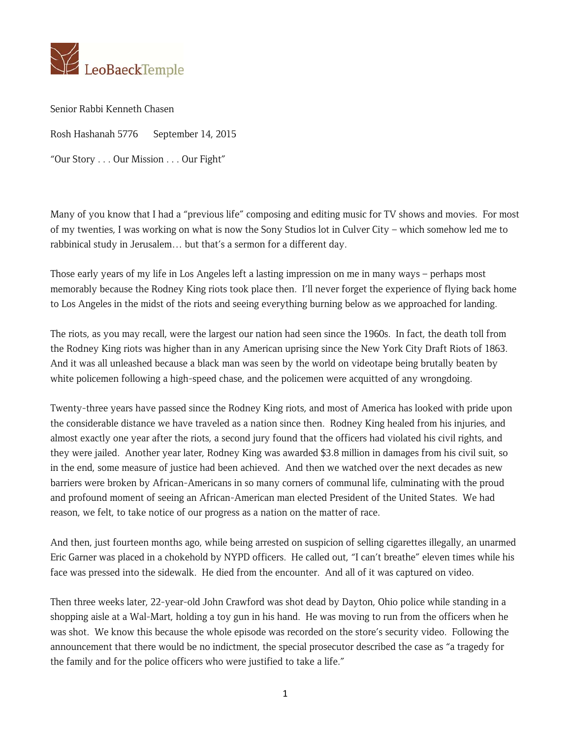

Senior Rabbi Kenneth Chasen

Rosh Hashanah 5776 September 14, 2015

"Our Story . . . Our Mission . . . Our Fight"

Many of you know that I had a "previous life" composing and editing music for TV shows and movies. For most of my twenties, I was working on what is now the Sony Studios lot in Culver City – which somehow led me to rabbinical study in Jerusalem… but that's a sermon for a different day.

Those early years of my life in Los Angeles left a lasting impression on me in many ways – perhaps most memorably because the Rodney King riots took place then. I'll never forget the experience of flying back home to Los Angeles in the midst of the riots and seeing everything burning below as we approached for landing.

The riots, as you may recall, were the largest our nation had seen since the 1960s. In fact, the death toll from the Rodney King riots was higher than in any American uprising since the New York City Draft Riots of 1863. And it was all unleashed because a black man was seen by the world on videotape being brutally beaten by white policemen following a high-speed chase, and the policemen were acquitted of any wrongdoing.

Twenty-three years have passed since the Rodney King riots, and most of America has looked with pride upon the considerable distance we have traveled as a nation since then. Rodney King healed from his injuries, and almost exactly one year after the riots, a second jury found that the officers had violated his civil rights, and they were jailed. Another year later, Rodney King was awarded \$3.8 million in damages from his civil suit, so in the end, some measure of justice had been achieved. And then we watched over the next decades as new barriers were broken by African-Americans in so many corners of communal life, culminating with the proud and profound moment of seeing an African-American man elected President of the United States. We had reason, we felt, to take notice of our progress as a nation on the matter of race.

And then, just fourteen months ago, while being arrested on suspicion of selling cigarettes illegally, an unarmed Eric Garner was placed in a chokehold by NYPD officers. He called out, "I can't breathe" eleven times while his face was pressed into the sidewalk. He died from the encounter. And all of it was captured on video.

Then three weeks later, 22-year-old John Crawford was shot dead by Dayton, Ohio police while standing in a shopping aisle at a Wal-Mart, holding a toy gun in his hand. He was moving to run from the officers when he was shot. We know this because the whole episode was recorded on the store's security video. Following the announcement that there would be no indictment, the special prosecutor described the case as "a tragedy for the family and for the police officers who were justified to take a life."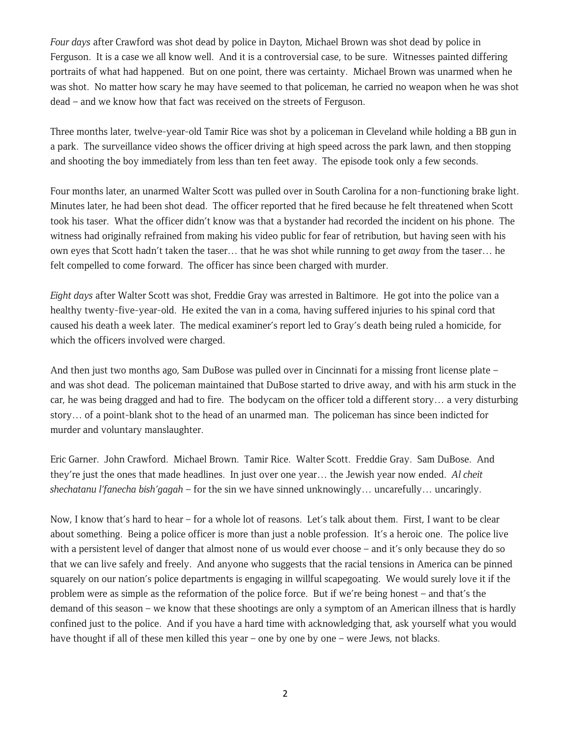*Four days* after Crawford was shot dead by police in Dayton, Michael Brown was shot dead by police in Ferguson. It is a case we all know well. And it is a controversial case, to be sure. Witnesses painted differing portraits of what had happened. But on one point, there was certainty. Michael Brown was unarmed when he was shot. No matter how scary he may have seemed to that policeman, he carried no weapon when he was shot dead – and we know how that fact was received on the streets of Ferguson.

Three months later, twelve-year-old Tamir Rice was shot by a policeman in Cleveland while holding a BB gun in a park. The surveillance video shows the officer driving at high speed across the park lawn, and then stopping and shooting the boy immediately from less than ten feet away. The episode took only a few seconds.

Four months later, an unarmed Walter Scott was pulled over in South Carolina for a non-functioning brake light. Minutes later, he had been shot dead. The officer reported that he fired because he felt threatened when Scott took his taser. What the officer didn't know was that a bystander had recorded the incident on his phone. The witness had originally refrained from making his video public for fear of retribution, but having seen with his own eyes that Scott hadn't taken the taser… that he was shot while running to get *away* from the taser… he felt compelled to come forward. The officer has since been charged with murder.

*Eight days* after Walter Scott was shot, Freddie Gray was arrested in Baltimore. He got into the police van a healthy twenty-five-year-old. He exited the van in a coma, having suffered injuries to his spinal cord that caused his death a week later. The medical examiner's report led to Gray's death being ruled a homicide, for which the officers involved were charged.

And then just two months ago, Sam DuBose was pulled over in Cincinnati for a missing front license plate – and was shot dead. The policeman maintained that DuBose started to drive away, and with his arm stuck in the car, he was being dragged and had to fire. The bodycam on the officer told a different story… a very disturbing story… of a point-blank shot to the head of an unarmed man. The policeman has since been indicted for murder and voluntary manslaughter.

Eric Garner. John Crawford. Michael Brown. Tamir Rice. Walter Scott. Freddie Gray. Sam DuBose. And they're just the ones that made headlines. In just over one year… the Jewish year now ended. *Al cheit shechatanu l'fanecha bish'gagah* – for the sin we have sinned unknowingly… uncarefully… uncaringly.

Now, I know that's hard to hear – for a whole lot of reasons. Let's talk about them. First, I want to be clear about something. Being a police officer is more than just a noble profession. It's a heroic one. The police live with a persistent level of danger that almost none of us would ever choose – and it's only because they do so that we can live safely and freely. And anyone who suggests that the racial tensions in America can be pinned squarely on our nation's police departments is engaging in willful scapegoating. We would surely love it if the problem were as simple as the reformation of the police force. But if we're being honest – and that's the demand of this season – we know that these shootings are only a symptom of an American illness that is hardly confined just to the police. And if you have a hard time with acknowledging that, ask yourself what you would have thought if all of these men killed this year – one by one by one – were Jews, not blacks.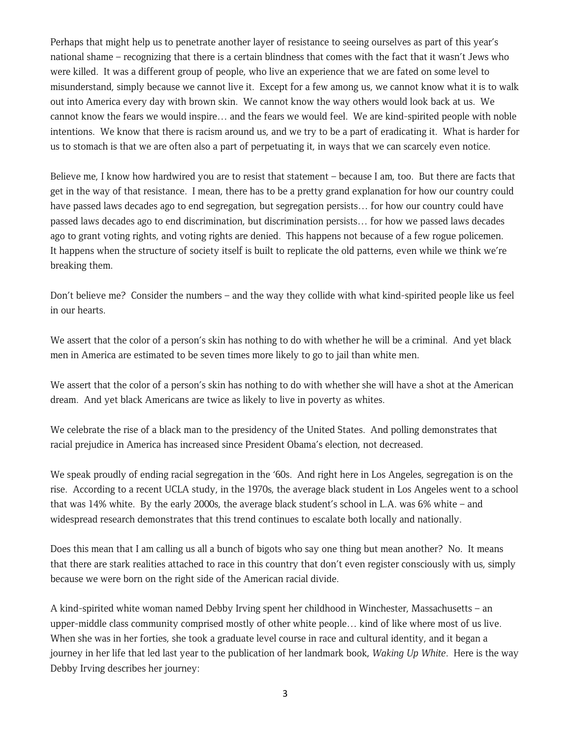Perhaps that might help us to penetrate another layer of resistance to seeing ourselves as part of this year's national shame – recognizing that there is a certain blindness that comes with the fact that it wasn't Jews who were killed. It was a different group of people, who live an experience that we are fated on some level to misunderstand, simply because we cannot live it. Except for a few among us, we cannot know what it is to walk out into America every day with brown skin. We cannot know the way others would look back at us. We cannot know the fears we would inspire… and the fears we would feel. We are kind-spirited people with noble intentions. We know that there is racism around us, and we try to be a part of eradicating it. What is harder for us to stomach is that we are often also a part of perpetuating it, in ways that we can scarcely even notice.

Believe me, I know how hardwired you are to resist that statement – because I am, too. But there are facts that get in the way of that resistance. I mean, there has to be a pretty grand explanation for how our country could have passed laws decades ago to end segregation, but segregation persists… for how our country could have passed laws decades ago to end discrimination, but discrimination persists… for how we passed laws decades ago to grant voting rights, and voting rights are denied. This happens not because of a few rogue policemen. It happens when the structure of society itself is built to replicate the old patterns, even while we think we're breaking them.

Don't believe me? Consider the numbers – and the way they collide with what kind-spirited people like us feel in our hearts.

We assert that the color of a person's skin has nothing to do with whether he will be a criminal. And yet black men in America are estimated to be seven times more likely to go to jail than white men.

We assert that the color of a person's skin has nothing to do with whether she will have a shot at the American dream. And yet black Americans are twice as likely to live in poverty as whites.

We celebrate the rise of a black man to the presidency of the United States. And polling demonstrates that racial prejudice in America has increased since President Obama's election, not decreased.

We speak proudly of ending racial segregation in the '60s. And right here in Los Angeles, segregation is on the rise. According to a recent UCLA study, in the 1970s, the average black student in Los Angeles went to a school that was 14% white. By the early 2000s, the average black student's school in L.A. was 6% white – and widespread research demonstrates that this trend continues to escalate both locally and nationally.

Does this mean that I am calling us all a bunch of bigots who say one thing but mean another? No. It means that there are stark realities attached to race in this country that don't even register consciously with us, simply because we were born on the right side of the American racial divide.

A kind-spirited white woman named Debby Irving spent her childhood in Winchester, Massachusetts – an upper-middle class community comprised mostly of other white people… kind of like where most of us live. When she was in her forties, she took a graduate level course in race and cultural identity, and it began a journey in her life that led last year to the publication of her landmark book, *Waking Up White*. Here is the way Debby Irving describes her journey: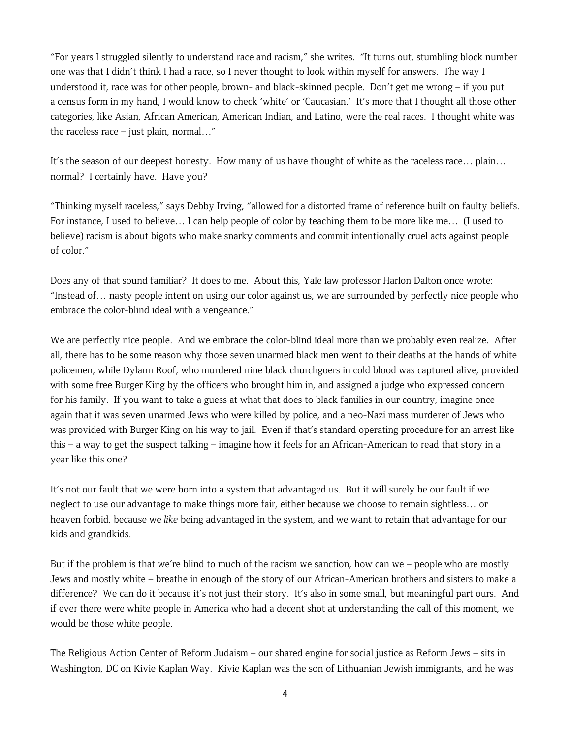"For years I struggled silently to understand race and racism," she writes. "It turns out, stumbling block number one was that I didn't think I had a race, so I never thought to look within myself for answers. The way I understood it, race was for other people, brown- and black-skinned people. Don't get me wrong – if you put a census form in my hand, I would know to check 'white' or 'Caucasian.' It's more that I thought all those other categories, like Asian, African American, American Indian, and Latino, were the real races. I thought white was the raceless race – just plain, normal..."

It's the season of our deepest honesty. How many of us have thought of white as the raceless race… plain… normal? I certainly have. Have you?

"Thinking myself raceless," says Debby Irving, "allowed for a distorted frame of reference built on faulty beliefs. For instance, I used to believe… I can help people of color by teaching them to be more like me… (I used to believe) racism is about bigots who make snarky comments and commit intentionally cruel acts against people of color."

Does any of that sound familiar? It does to me. About this, Yale law professor Harlon Dalton once wrote: "Instead of… nasty people intent on using our color against us, we are surrounded by perfectly nice people who embrace the color-blind ideal with a vengeance."

We are perfectly nice people. And we embrace the color-blind ideal more than we probably even realize. After all, there has to be some reason why those seven unarmed black men went to their deaths at the hands of white policemen, while Dylann Roof, who murdered nine black churchgoers in cold blood was captured alive, provided with some free Burger King by the officers who brought him in, and assigned a judge who expressed concern for his family. If you want to take a guess at what that does to black families in our country, imagine once again that it was seven unarmed Jews who were killed by police, and a neo-Nazi mass murderer of Jews who was provided with Burger King on his way to jail. Even if that's standard operating procedure for an arrest like this – a way to get the suspect talking – imagine how it feels for an African-American to read that story in a year like this one?

It's not our fault that we were born into a system that advantaged us. But it will surely be our fault if we neglect to use our advantage to make things more fair, either because we choose to remain sightless… or heaven forbid, because we *like* being advantaged in the system, and we want to retain that advantage for our kids and grandkids.

But if the problem is that we're blind to much of the racism we sanction, how can we – people who are mostly Jews and mostly white – breathe in enough of the story of our African-American brothers and sisters to make a difference? We can do it because it's not just their story. It's also in some small, but meaningful part ours. And if ever there were white people in America who had a decent shot at understanding the call of this moment, we would be those white people.

The Religious Action Center of Reform Judaism – our shared engine for social justice as Reform Jews – sits in Washington, DC on Kivie Kaplan Way. Kivie Kaplan was the son of Lithuanian Jewish immigrants, and he was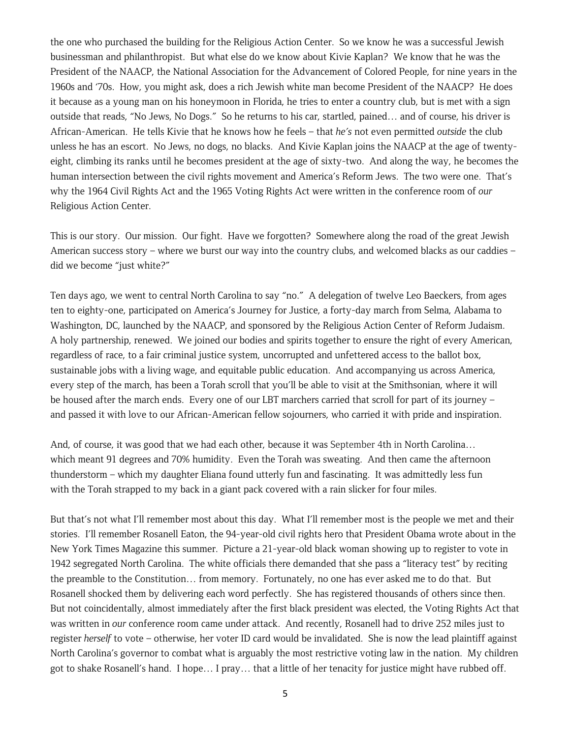the one who purchased the building for the Religious Action Center. So we know he was a successful Jewish businessman and philanthropist. But what else do we know about Kivie Kaplan? We know that he was the President of the NAACP, the National Association for the Advancement of Colored People, for nine years in the 1960s and '70s. How, you might ask, does a rich Jewish white man become President of the NAACP? He does it because as a young man on his honeymoon in Florida, he tries to enter a country club, but is met with a sign outside that reads, "No Jews, No Dogs." So he returns to his car, startled, pained… and of course, his driver is African-American. He tells Kivie that he knows how he feels – that *he's* not even permitted *outside* the club unless he has an escort. No Jews, no dogs, no blacks. And Kivie Kaplan joins the NAACP at the age of twentyeight, climbing its ranks until he becomes president at the age of sixty-two. And along the way, he becomes the human intersection between the civil rights movement and America's Reform Jews. The two were one. That's why the 1964 Civil Rights Act and the 1965 Voting Rights Act were written in the conference room of *our*  Religious Action Center.

This is our story. Our mission. Our fight. Have we forgotten? Somewhere along the road of the great Jewish American success story – where we burst our way into the country clubs, and welcomed blacks as our caddies – did we become "just white?"

Ten days ago, we went to central North Carolina to say "no." A delegation of twelve Leo Baeckers, from ages ten to eighty-one, participated on America's Journey for Justice, a forty-day march from Selma, Alabama to Washington, DC, launched by the NAACP, and sponsored by the Religious Action Center of Reform Judaism. A holy partnership, renewed. We joined our bodies and spirits together to ensure the right of every American, regardless of race, to a fair criminal justice system, uncorrupted and unfettered access to the ballot box, sustainable jobs with a living wage, and equitable public education. And accompanying us across America, every step of the march, has been a Torah scroll that you'll be able to visit at the Smithsonian, where it will be housed after the march ends. Every one of our LBT marchers carried that scroll for part of its journey – and passed it with love to our African-American fellow sojourners, who carried it with pride and inspiration.

And, of course, it was good that we had each other, because it was September 4th in North Carolina… which meant 91 degrees and 70% humidity. Even the Torah was sweating. And then came the afternoon thunderstorm – which my daughter Eliana found utterly fun and fascinating. It was admittedly less fun with the Torah strapped to my back in a giant pack covered with a rain slicker for four miles.

But that's not what I'll remember most about this day. What I'll remember most is the people we met and their stories. I'll remember Rosanell Eaton, the 94-year-old civil rights hero that President Obama wrote about in the New York Times Magazine this summer. Picture a 21-year-old black woman showing up to register to vote in 1942 segregated North Carolina. The white officials there demanded that she pass a "literacy test" by reciting the preamble to the Constitution… from memory. Fortunately, no one has ever asked me to do that. But Rosanell shocked them by delivering each word perfectly. She has registered thousands of others since then. But not coincidentally, almost immediately after the first black president was elected, the Voting Rights Act that was written in *our* conference room came under attack. And recently, Rosanell had to drive 252 miles just to register *herself* to vote – otherwise, her voter ID card would be invalidated. She is now the lead plaintiff against North Carolina's governor to combat what is arguably the most restrictive voting law in the nation. My children got to shake Rosanell's hand. I hope… I pray… that a little of her tenacity for justice might have rubbed off.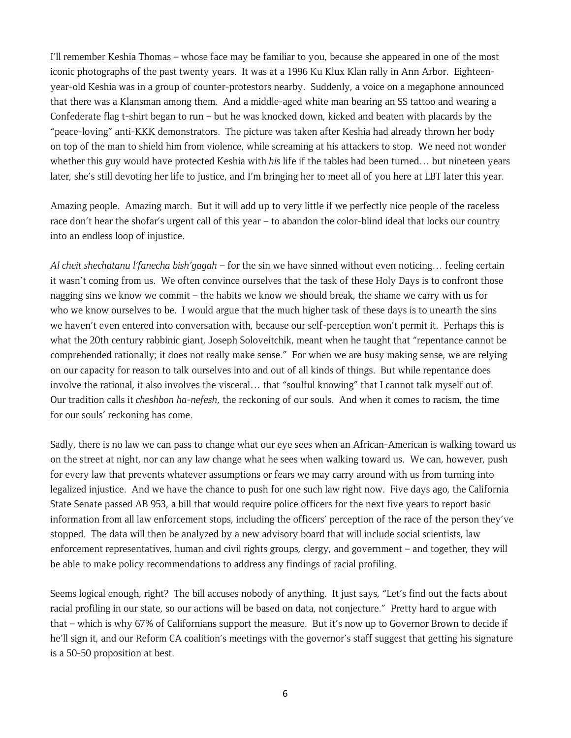I'll remember Keshia Thomas – whose face may be familiar to you, because she appeared in one of the most iconic photographs of the past twenty years. It was at a 1996 Ku Klux Klan rally in Ann Arbor. Eighteenyear-old Keshia was in a group of counter-protestors nearby. Suddenly, a voice on a megaphone announced that there was a Klansman among them. And a middle-aged white man bearing an SS tattoo and wearing a Confederate flag t-shirt began to run – but he was knocked down, kicked and beaten with placards by the "peace-loving" anti-KKK demonstrators. The picture was taken after Keshia had already thrown her body on top of the man to shield him from violence, while screaming at his attackers to stop. We need not wonder whether this guy would have protected Keshia with *his* life if the tables had been turned… but nineteen years later, she's still devoting her life to justice, and I'm bringing her to meet all of you here at LBT later this year.

Amazing people. Amazing march. But it will add up to very little if we perfectly nice people of the raceless race don't hear the shofar's urgent call of this year – to abandon the color-blind ideal that locks our country into an endless loop of injustice.

*Al cheit shechatanu l'fanecha bish'gagah* – for the sin we have sinned without even noticing… feeling certain it wasn't coming from us. We often convince ourselves that the task of these Holy Days is to confront those nagging sins we know we commit – the habits we know we should break, the shame we carry with us for who we know ourselves to be. I would argue that the much higher task of these days is to unearth the sins we haven't even entered into conversation with, because our self-perception won't permit it. Perhaps this is what the 20th century rabbinic giant, Joseph Soloveitchik, meant when he taught that "repentance cannot be comprehended rationally; it does not really make sense." For when we are busy making sense, we are relying on our capacity for reason to talk ourselves into and out of all kinds of things. But while repentance does involve the rational, it also involves the visceral… that "soulful knowing" that I cannot talk myself out of. Our tradition calls it *cheshbon ha-nefesh*, the reckoning of our souls. And when it comes to racism, the time for our souls' reckoning has come.

Sadly, there is no law we can pass to change what our eye sees when an African-American is walking toward us on the street at night, nor can any law change what he sees when walking toward us. We can, however, push for every law that prevents whatever assumptions or fears we may carry around with us from turning into legalized injustice. And we have the chance to push for one such law right now. Five days ago, the California State Senate passed AB 953, a bill that would require police officers for the next five years to report basic information from all law enforcement stops, including the officers' perception of the race of the person they've stopped. The data will then be analyzed by a new advisory board that will include social scientists, law enforcement representatives, human and civil rights groups, clergy, and government – and together, they will be able to make policy recommendations to address any findings of racial profiling.

Seems logical enough, right? The bill accuses nobody of anything. It just says, "Let's find out the facts about racial profiling in our state, so our actions will be based on data, not conjecture." Pretty hard to argue with that – which is why 67% of Californians support the measure. But it's now up to Governor Brown to decide if he'll sign it, and our Reform CA coalition's meetings with the governor's staff suggest that getting his signature is a 50-50 proposition at best.